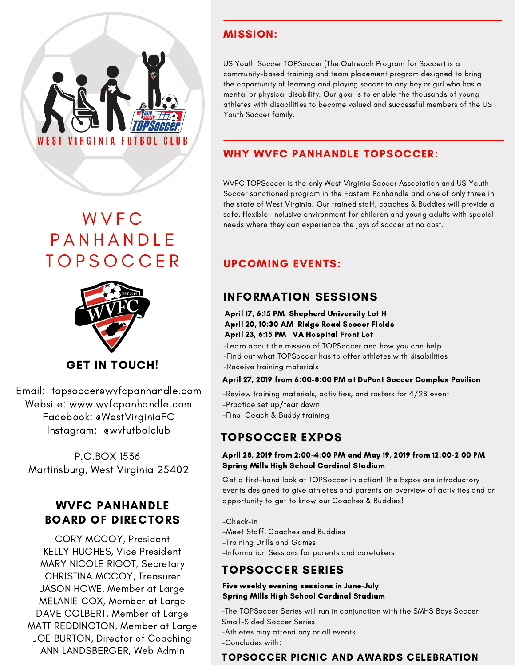

## **WVFC PANHANDLE TOPSOCCER**



## GET IN TOUCH!

Email: topsoccer@wvfcpanhandle.com Website: www.wvfcpanhandle.com Facebook: @WestVirginiaFC Instagram: @wvfutbolclub

P.O.BOX 1536 Martinsburg, West Virginia 25402

### WVFC PANHANDLE BOARD OF DIRECTORS

CORY MCCOY, President KELLY HUGHES, Vice President MARY NICOLE RIGOT, Secretary CHRISTINA MCCOY, Treasurer JASON HOWE, Member at Large MELANIE COX, Member at Large DAVE COLBERT, Member at Large MATT REDDINGTON, Member at Large JOE BURTON, Director of Coaching ANN LANDSBERGER, Web Admin

#### MISSION:

US Youth Soccer TOPSoccer (The Outreach Program for Soccer) is a community-based training and team placement program designed to bring the opportunity of learning and playing soccer to any boy or girl who has a mental or physical disability. Our goal is to enable the thousands of young athletes with disabilities to become valued and successful members of the US Youth Soccer family.

### WHY WVFC PANHANDLE TOPSOCCER:

WVFC TOPSoccer is the only West Virginia Soccer Association and US Youth Soccer sanctioned program in the Eastern Panhandle and one of only three in the state of West Virginia. Our trained staff, coaches & Buddies will provide a safe, flexible, inclusive environment for children and young adults with special needs where they can experience the joys of soccer at no cost.

#### UPCOMING EVENTS:

### INFORMATION SESSIONS

#### April 17, 6:15 PM Shepherd University Lot H April 20, 10:30 AM Ridge Road Soccer Fields April 23, 6:15 PM VA Hospital Front Lot

-Learn about the mission of TOPSoccer and how you can help -Find out what TOPSoccer has to offer athletes with disabilities -Receive training materials

#### April 27, 2019 from 6:00-8:00 PM at DuPont Soccer Complex Pavilion

- -Review training materials, activities, and rosters for 4/28 event -Practice set up/tear down
- -Final Coach & Buddy training

#### TOPSOCCER EXPOS

#### April 28, 2019 from 2:00-4:00 PM and May 19, 2019 from 12:00-2:00 PM Spring Mills High School Cardinal Stadium

Get a first-hand look at TOPSoccer in action! The Expos are introductory events designed to give athletes and parents an overview of activities and an opportunity to get to know our Coaches & Buddies!

- -Check-in
- -Meet Staff, Coaches and Buddies
- -Training Drills and Games
- -Information Sessions for parents and caretakers

## TOPSOCCER SERIES

#### Five weekly evening sessions in June-July Spring Mills High School Cardinal Stadium

-The TOPSoccer Series will run in conjunction with the SMHS Boys Soccer Small-Sided Soccer Series

- -Athletes may attend any or all events
- -Concludes with:

#### TOPSOCCER PICNIC AND AWARDS CELEBRATION